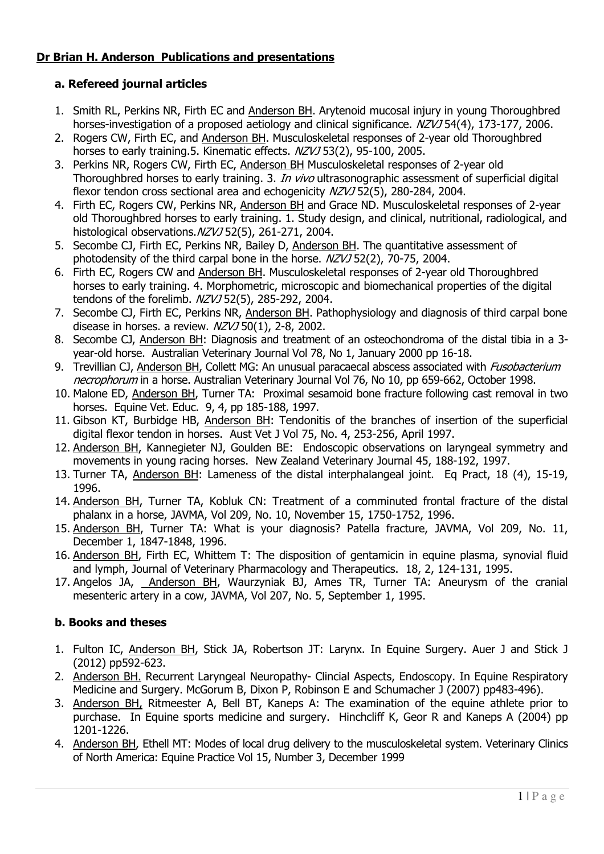# Dr Brian H. Anderson Publications and presentations

# a. Refereed journal articles

- 1. Smith RL, Perkins NR, Firth EC and Anderson BH. Arytenoid mucosal injury in young Thoroughbred horses-investigation of a proposed aetiology and clinical significance.  $NZVJ$  54(4), 173-177, 2006.
- 2. Rogers CW, Firth EC, and Anderson BH. Musculoskeletal responses of 2-year old Thoroughbred horses to early training.5. Kinematic effects.  $NZVJ$  53(2), 95-100, 2005.
- 3. Perkins NR, Rogers CW, Firth EC, Anderson BH Musculoskeletal responses of 2-year old Thoroughbred horses to early training. 3. In vivo ultrasonographic assessment of superficial digital flexor tendon cross sectional area and echogenicity NZVJ 52(5), 280-284, 2004.
- 4. Firth EC, Rogers CW, Perkins NR, Anderson BH and Grace ND. Musculoskeletal responses of 2-year old Thoroughbred horses to early training. 1. Study design, and clinical, nutritional, radiological, and histological observations. NZVJ 52(5), 261-271, 2004.
- 5. Secombe CJ, Firth EC, Perkins NR, Bailey D, Anderson BH. The quantitative assessment of photodensity of the third carpal bone in the horse. NZVJ 52(2), 70-75, 2004.
- 6. Firth EC, Rogers CW and Anderson BH. Musculoskeletal responses of 2-year old Thoroughbred horses to early training. 4. Morphometric, microscopic and biomechanical properties of the digital tendons of the forelimb. NZVJ 52(5), 285-292, 2004.
- 7. Secombe CJ, Firth EC, Perkins NR, Anderson BH. Pathophysiology and diagnosis of third carpal bone disease in horses. a review. NZVJ 50(1), 2-8, 2002.
- 8. Secombe CJ, Anderson BH: Diagnosis and treatment of an osteochondroma of the distal tibia in a 3 year-old horse. Australian Veterinary Journal Vol 78, No 1, January 2000 pp 16-18.
- 9. Trevillian CJ, Anderson BH, Collett MG: An unusual paracaecal abscess associated with *Fusobacterium* necrophorum in a horse. Australian Veterinary Journal Vol 76, No 10, pp 659-662, October 1998.
- 10. Malone ED, Anderson BH, Turner TA: Proximal sesamoid bone fracture following cast removal in two horses. Equine Vet. Educ. 9, 4, pp 185-188, 1997.
- 11. Gibson KT, Burbidge HB, Anderson BH: Tendonitis of the branches of insertion of the superficial digital flexor tendon in horses. Aust Vet J Vol 75, No. 4, 253-256, April 1997.
- 12. Anderson BH, Kannegieter NJ, Goulden BE: Endoscopic observations on laryngeal symmetry and movements in young racing horses. New Zealand Veterinary Journal 45, 188-192, 1997.
- 13. Turner TA, Anderson BH: Lameness of the distal interphalangeal joint. Eq Pract, 18 (4), 15-19, 1996.
- 14. Anderson BH, Turner TA, Kobluk CN: Treatment of a comminuted frontal fracture of the distal phalanx in a horse, JAVMA, Vol 209, No. 10, November 15, 1750-1752, 1996.
- 15. Anderson BH, Turner TA: What is your diagnosis? Patella fracture, JAVMA, Vol 209, No. 11, December 1, 1847-1848, 1996.
- 16. Anderson BH, Firth EC, Whittem T: The disposition of gentamicin in equine plasma, synovial fluid and lymph, Journal of Veterinary Pharmacology and Therapeutics. 18, 2, 124-131, 1995.
- 17. Angelos JA, Anderson BH, Waurzyniak BJ, Ames TR, Turner TA: Aneurysm of the cranial mesenteric artery in a cow, JAVMA, Vol 207, No. 5, September 1, 1995.

# b. Books and theses

- 1. Fulton IC, Anderson BH, Stick JA, Robertson JT: Larynx. In Equine Surgery. Auer J and Stick J (2012) pp592-623.
- 2. Anderson BH. Recurrent Laryngeal Neuropathy- Clincial Aspects, Endoscopy. In Equine Respiratory Medicine and Surgery. McGorum B, Dixon P, Robinson E and Schumacher J (2007) pp483-496).
- 3. Anderson BH, Ritmeester A, Bell BT, Kaneps A: The examination of the equine athlete prior to purchase. In Equine sports medicine and surgery. Hinchcliff K, Geor R and Kaneps A (2004) pp 1201-1226.
- 4. Anderson BH, Ethell MT: Modes of local drug delivery to the musculoskeletal system. Veterinary Clinics of North America: Equine Practice Vol 15, Number 3, December 1999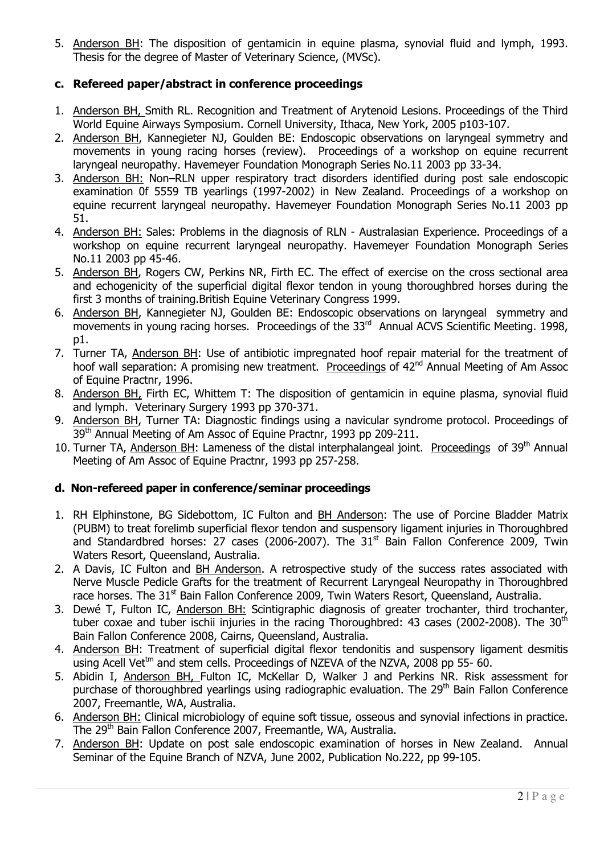5. Anderson BH: The disposition of gentamicin in equine plasma, synovial fluid and lymph, 1993. Thesis for the degree of Master of Veterinary Science, (MVSc).

## c. Refereed paper/abstract in conference proceedings

- 1. Anderson BH, Smith RL. Recognition and Treatment of Arytenoid Lesions. Proceedings of the Third World Equine Airways Symposium. Cornell University, Ithaca, New York, 2005 p103-107.
- 2. Anderson BH, Kannegieter NJ, Goulden BE: Endoscopic observations on laryngeal symmetry and movements in young racing horses (review). Proceedings of a workshop on equine recurrent laryngeal neuropathy. Havemeyer Foundation Monograph Series No.11 2003 pp 33-34.
- 3. Anderson BH: Non–RLN upper respiratory tract disorders identified during post sale endoscopic examination 0f 5559 TB yearlings (1997-2002) in New Zealand. Proceedings of a workshop on equine recurrent laryngeal neuropathy. Havemeyer Foundation Monograph Series No.11 2003 pp 51.
- 4. Anderson BH: Sales: Problems in the diagnosis of RLN Australasian Experience. Proceedings of a workshop on equine recurrent laryngeal neuropathy. Havemeyer Foundation Monograph Series No.11 2003 pp 45-46.
- 5. Anderson BH, Rogers CW, Perkins NR, Firth EC. The effect of exercise on the cross sectional area and echogenicity of the superficial digital flexor tendon in young thoroughbred horses during the first 3 months of training.British Equine Veterinary Congress 1999.
- 6. Anderson BH, Kannegieter NJ, Goulden BE: Endoscopic observations on laryngeal symmetry and movements in young racing horses. Proceedings of the 33<sup>rd</sup> Annual ACVS Scientific Meeting. 1998, p1.
- 7. Turner TA, Anderson BH: Use of antibiotic impregnated hoof repair material for the treatment of hoof wall separation: A promising new treatment. Proceedings of 42<sup>nd</sup> Annual Meeting of Am Assoc of Equine Practnr, 1996.
- 8. Anderson BH, Firth EC, Whittem T: The disposition of gentamicin in equine plasma, synovial fluid and lymph. Veterinary Surgery 1993 pp 370-371.
- 9. Anderson BH, Turner TA: Diagnostic findings using a navicular syndrome protocol. Proceedings of 39<sup>th</sup> Annual Meeting of Am Assoc of Equine Practnr, 1993 pp 209-211.
- 10. Turner TA, Anderson BH: Lameness of the distal interphalangeal joint. Proceedings of 39<sup>th</sup> Annual Meeting of Am Assoc of Equine Practnr, 1993 pp 257-258.

### d. Non-refereed paper in conference/seminar proceedings

- 1. RH Elphinstone, BG Sidebottom, IC Fulton and BH Anderson: The use of Porcine Bladder Matrix (PUBM) to treat forelimb superficial flexor tendon and suspensory ligament injuries in Thoroughbred and Standardbred horses: 27 cases (2006-2007). The  $31<sup>st</sup>$  Bain Fallon Conference 2009, Twin Waters Resort, Queensland, Australia.
- 2. A Davis, IC Fulton and BH Anderson. A retrospective study of the success rates associated with Nerve Muscle Pedicle Grafts for the treatment of Recurrent Laryngeal Neuropathy in Thoroughbred race horses. The 31<sup>st</sup> Bain Fallon Conference 2009, Twin Waters Resort, Queensland, Australia.
- 3. Dewé T, Fulton IC, Anderson BH: Scintigraphic diagnosis of greater trochanter, third trochanter, tuber coxae and tuber ischii injuries in the racing Thoroughbred: 43 cases (2002-2008). The  $30<sup>th</sup>$ Bain Fallon Conference 2008, Cairns, Queensland, Australia.
- 4. Anderson BH: Treatment of superficial digital flexor tendonitis and suspensory ligament desmitis using Acell Vet<sup>tm</sup> and stem cells. Proceedings of NZEVA of the NZVA, 2008 pp 55- 60.
- 5. Abidin I, Anderson BH, Fulton IC, McKellar D, Walker J and Perkins NR. Risk assessment for purchase of thoroughbred yearlings using radiographic evaluation. The 29<sup>th</sup> Bain Fallon Conference 2007, Freemantle, WA, Australia.
- 6. Anderson BH: Clinical microbiology of equine soft tissue, osseous and synovial infections in practice. The 29th Bain Fallon Conference 2007, Freemantle, WA, Australia.
- 7. Anderson BH: Update on post sale endoscopic examination of horses in New Zealand. Annual Seminar of the Equine Branch of NZVA, June 2002, Publication No.222, pp 99-105.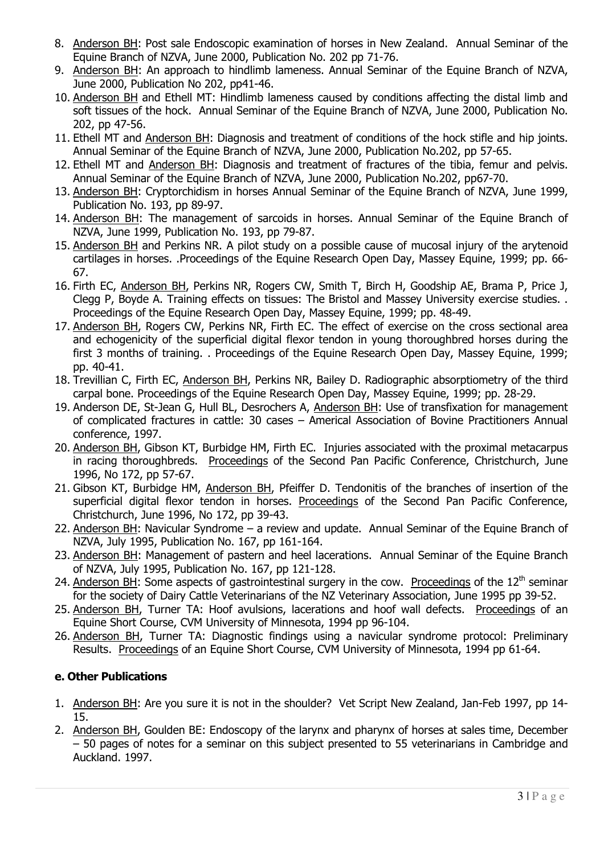- 8. Anderson BH: Post sale Endoscopic examination of horses in New Zealand. Annual Seminar of the Equine Branch of NZVA, June 2000, Publication No. 202 pp 71-76.
- 9. Anderson BH: An approach to hindlimb lameness. Annual Seminar of the Equine Branch of NZVA, June 2000, Publication No 202, pp41-46.
- 10. Anderson BH and Ethell MT: Hindlimb lameness caused by conditions affecting the distal limb and soft tissues of the hock. Annual Seminar of the Equine Branch of NZVA, June 2000, Publication No. 202, pp 47-56.
- 11. Ethell MT and Anderson BH: Diagnosis and treatment of conditions of the hock stifle and hip joints. Annual Seminar of the Equine Branch of NZVA, June 2000, Publication No.202, pp 57-65.
- 12. Ethell MT and Anderson BH: Diagnosis and treatment of fractures of the tibia, femur and pelvis. Annual Seminar of the Equine Branch of NZVA, June 2000, Publication No.202, pp67-70.
- 13. Anderson BH: Cryptorchidism in horses Annual Seminar of the Equine Branch of NZVA, June 1999, Publication No. 193, pp 89-97.
- 14. Anderson BH: The management of sarcoids in horses. Annual Seminar of the Equine Branch of NZVA, June 1999, Publication No. 193, pp 79-87.
- 15. Anderson BH and Perkins NR. A pilot study on a possible cause of mucosal injury of the arytenoid cartilages in horses. .Proceedings of the Equine Research Open Day, Massey Equine, 1999; pp. 66- 67.
- 16. Firth EC, Anderson BH, Perkins NR, Rogers CW, Smith T, Birch H, Goodship AE, Brama P, Price J, Clegg P, Boyde A. Training effects on tissues: The Bristol and Massey University exercise studies. . Proceedings of the Equine Research Open Day, Massey Equine, 1999; pp. 48-49.
- 17. Anderson BH, Rogers CW, Perkins NR, Firth EC. The effect of exercise on the cross sectional area and echogenicity of the superficial digital flexor tendon in young thoroughbred horses during the first 3 months of training. . Proceedings of the Equine Research Open Day, Massey Equine, 1999; pp. 40-41.
- 18. Trevillian C, Firth EC, Anderson BH, Perkins NR, Bailey D. Radiographic absorptiometry of the third carpal bone. Proceedings of the Equine Research Open Day, Massey Equine, 1999; pp. 28-29.
- 19. Anderson DE, St-Jean G, Hull BL, Desrochers A, Anderson BH: Use of transfixation for management of complicated fractures in cattle: 30 cases – Americal Association of Bovine Practitioners Annual conference, 1997.
- 20. Anderson BH, Gibson KT, Burbidge HM, Firth EC. Injuries associated with the proximal metacarpus in racing thoroughbreds. Proceedings of the Second Pan Pacific Conference, Christchurch, June 1996, No 172, pp 57-67.
- 21. Gibson KT, Burbidge HM, Anderson BH, Pfeiffer D. Tendonitis of the branches of insertion of the superficial digital flexor tendon in horses. Proceedings of the Second Pan Pacific Conference, Christchurch, June 1996, No 172, pp 39-43.
- 22. Anderson BH: Navicular Syndrome a review and update. Annual Seminar of the Equine Branch of NZVA, July 1995, Publication No. 167, pp 161-164.
- 23. Anderson BH: Management of pastern and heel lacerations. Annual Seminar of the Equine Branch of NZVA, July 1995, Publication No. 167, pp 121-128.
- 24. Anderson BH: Some aspects of gastrointestinal surgery in the cow. Proceedings of the  $12<sup>th</sup>$  seminar for the society of Dairy Cattle Veterinarians of the NZ Veterinary Association, June 1995 pp 39-52.
- 25. Anderson BH, Turner TA: Hoof avulsions, lacerations and hoof wall defects. Proceedings of an Equine Short Course, CVM University of Minnesota, 1994 pp 96-104.
- 26. Anderson BH, Turner TA: Diagnostic findings using a navicular syndrome protocol: Preliminary Results. Proceedings of an Equine Short Course, CVM University of Minnesota, 1994 pp 61-64.

# e. Other Publications

- 1. Anderson BH: Are you sure it is not in the shoulder? Vet Script New Zealand, Jan-Feb 1997, pp 14- 15.
- 2. Anderson BH, Goulden BE: Endoscopy of the larynx and pharynx of horses at sales time, December – 50 pages of notes for a seminar on this subject presented to 55 veterinarians in Cambridge and Auckland. 1997.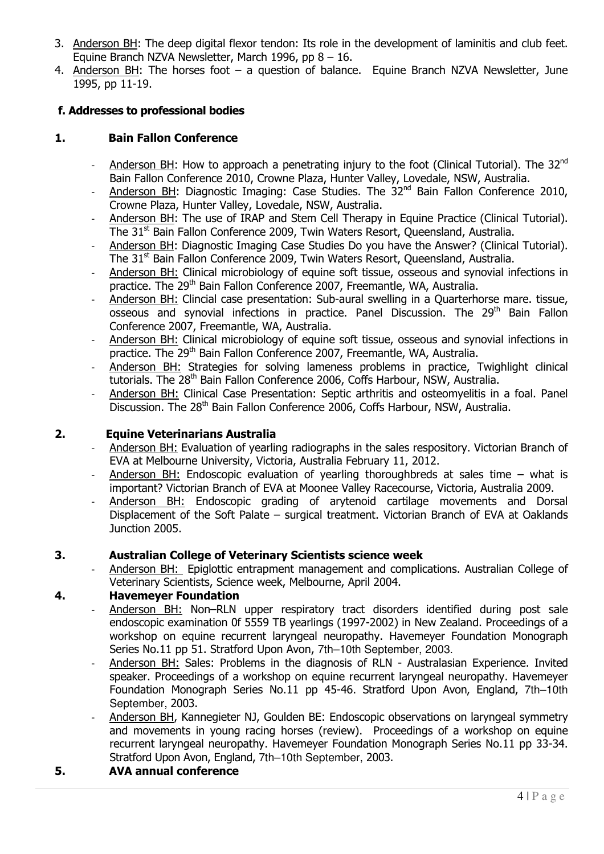- 3. Anderson BH: The deep digital flexor tendon: Its role in the development of laminitis and club feet. Equine Branch NZVA Newsletter, March 1996, pp 8 – 16.
- 4. Anderson BH: The horses foot a question of balance. Equine Branch NZVA Newsletter, June 1995, pp 11-19.

# f. Addresses to professional bodies

# 1. Bain Fallon Conference

- Anderson BH: How to approach a penetrating injury to the foot (Clinical Tutorial). The 32<sup>nd</sup> Bain Fallon Conference 2010, Crowne Plaza, Hunter Valley, Lovedale, NSW, Australia.
- Anderson BH: Diagnostic Imaging: Case Studies. The 32<sup>nd</sup> Bain Fallon Conference 2010, Crowne Plaza, Hunter Valley, Lovedale, NSW, Australia.
- Anderson BH: The use of IRAP and Stem Cell Therapy in Equine Practice (Clinical Tutorial). The 31<sup>st</sup> Bain Fallon Conference 2009, Twin Waters Resort, Queensland, Australia.
- Anderson BH: Diagnostic Imaging Case Studies Do you have the Answer? (Clinical Tutorial). The 31<sup>st</sup> Bain Fallon Conference 2009, Twin Waters Resort, Queensland, Australia.
- Anderson BH: Clinical microbiology of equine soft tissue, osseous and synovial infections in practice. The 29<sup>th</sup> Bain Fallon Conference 2007, Freemantle, WA, Australia.
- Anderson BH: Clincial case presentation: Sub-aural swelling in a Quarterhorse mare. tissue, osseous and synovial infections in practice. Panel Discussion. The 29<sup>th</sup> Bain Fallon Conference 2007, Freemantle, WA, Australia.
- Anderson BH: Clinical microbiology of equine soft tissue, osseous and synovial infections in practice. The 29<sup>th</sup> Bain Fallon Conference 2007, Freemantle, WA, Australia.
- Anderson BH: Strategies for solving lameness problems in practice, Twighlight clinical tutorials. The 28<sup>th</sup> Bain Fallon Conference 2006, Coffs Harbour, NSW, Australia.
- Anderson BH: Clinical Case Presentation: Septic arthritis and osteomyelitis in a foal. Panel Discussion. The 28<sup>th</sup> Bain Fallon Conference 2006, Coffs Harbour, NSW, Australia.

### 2. Equine Veterinarians Australia

- Anderson BH: Evaluation of yearling radiographs in the sales respository. Victorian Branch of EVA at Melbourne University, Victoria, Australia February 11, 2012.
- Anderson BH: Endoscopic evaluation of yearling thoroughbreds at sales time what is important? Victorian Branch of EVA at Moonee Valley Racecourse, Victoria, Australia 2009.
- Anderson BH: Endoscopic grading of arytenoid cartilage movements and Dorsal Displacement of the Soft Palate – surgical treatment. Victorian Branch of EVA at Oaklands Junction 2005.

### 3. Australian College of Veterinary Scientists science week

Anderson BH: Epiglottic entrapment management and complications. Australian College of Veterinary Scientists, Science week, Melbourne, April 2004.

### 4. Havemeyer Foundation

- Anderson BH: Non–RLN upper respiratory tract disorders identified during post sale endoscopic examination 0f 5559 TB yearlings (1997-2002) in New Zealand. Proceedings of a workshop on equine recurrent laryngeal neuropathy. Havemeyer Foundation Monograph Series No.11 pp 51. Stratford Upon Avon, 7th–10th September, 2003.
- Anderson BH: Sales: Problems in the diagnosis of RLN Australasian Experience. Invited speaker. Proceedings of a workshop on equine recurrent laryngeal neuropathy. Havemeyer Foundation Monograph Series No.11 pp 45-46. Stratford Upon Avon, England, 7th–10th September, 2003.
- Anderson BH, Kannegieter NJ, Goulden BE: Endoscopic observations on laryngeal symmetry and movements in young racing horses (review). Proceedings of a workshop on equine recurrent laryngeal neuropathy. Havemeyer Foundation Monograph Series No.11 pp 33-34. Stratford Upon Avon, England, 7th–10th September, 2003.

### 5. AVA annual conference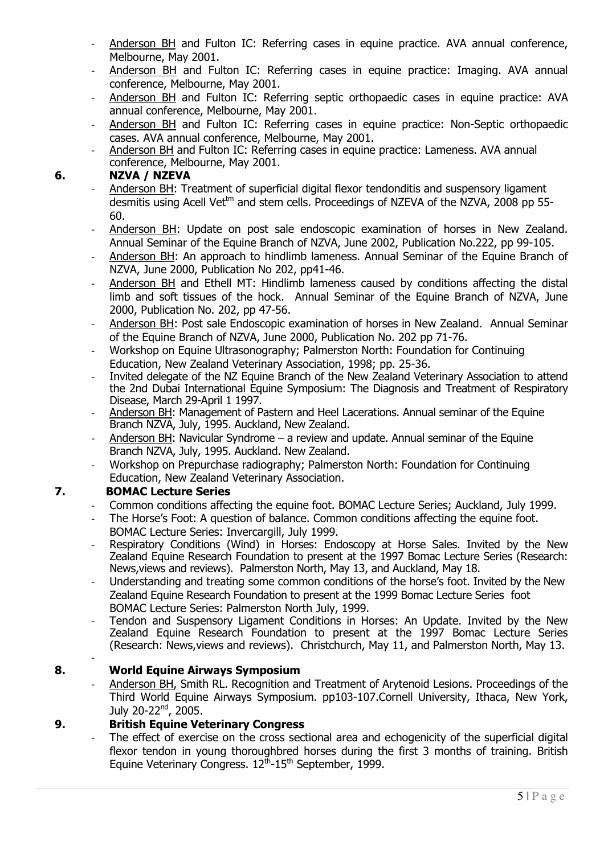- Anderson BH and Fulton IC: Referring cases in equine practice. AVA annual conference, Melbourne, May 2001.
- Anderson BH and Fulton IC: Referring cases in equine practice: Imaging. AVA annual conference, Melbourne, May 2001.
- Anderson BH and Fulton IC: Referring septic orthopaedic cases in equine practice: AVA annual conference, Melbourne, May 2001.
- Anderson BH and Fulton IC: Referring cases in equine practice: Non-Septic orthopaedic cases. AVA annual conference, Melbourne, May 2001.
- Anderson BH and Fulton IC: Referring cases in equine practice: Lameness. AVA annual conference, Melbourne, May 2001.

#### 6. NZVA / NZEVA

- Anderson BH: Treatment of superficial digital flexor tendonditis and suspensory ligament desmitis using Acell Vet<sup>tm</sup> and stem cells. Proceedings of NZEVA of the NZVA, 2008 pp 55-60.
- Anderson BH: Update on post sale endoscopic examination of horses in New Zealand. Annual Seminar of the Equine Branch of NZVA, June 2002, Publication No.222, pp 99-105.
- Anderson BH: An approach to hindlimb lameness. Annual Seminar of the Equine Branch of NZVA, June 2000, Publication No 202, pp41-46.
- Anderson BH and Ethell MT: Hindlimb lameness caused by conditions affecting the distal limb and soft tissues of the hock. Annual Seminar of the Equine Branch of NZVA, June 2000, Publication No. 202, pp 47-56.
- Anderson BH: Post sale Endoscopic examination of horses in New Zealand. Annual Seminar of the Equine Branch of NZVA, June 2000, Publication No. 202 pp 71-76.
- Workshop on Equine Ultrasonography; Palmerston North: Foundation for Continuing Education, New Zealand Veterinary Association, 1998; pp. 25-36.
- Invited delegate of the NZ Equine Branch of the New Zealand Veterinary Association to attend the 2nd Dubai International Equine Symposium: The Diagnosis and Treatment of Respiratory Disease, March 29-April 1 1997.
- Anderson BH: Management of Pastern and Heel Lacerations. Annual seminar of the Equine Branch NZVA, July, 1995. Auckland, New Zealand.
- Anderson BH: Navicular Syndrome a review and update. Annual seminar of the Equine Branch NZVA, July, 1995. Auckland. New Zealand.
- Workshop on Prepurchase radiography; Palmerston North: Foundation for Continuing Education, New Zealand Veterinary Association.

### 7. BOMAC Lecture Series

- Common conditions affecting the equine foot. BOMAC Lecture Series; Auckland, July 1999.
- The Horse's Foot: A question of balance. Common conditions affecting the equine foot. BOMAC Lecture Series: Invercargill, July 1999.
- Respiratory Conditions (Wind) in Horses: Endoscopy at Horse Sales. Invited by the New Zealand Equine Research Foundation to present at the 1997 Bomac Lecture Series (Research: News,views and reviews). Palmerston North, May 13, and Auckland, May 18.
- Understanding and treating some common conditions of the horse's foot. Invited by the New Zealand Equine Research Foundation to present at the 1999 Bomac Lecture Series foot BOMAC Lecture Series: Palmerston North July, 1999.
- Tendon and Suspensory Ligament Conditions in Horses: An Update. Invited by the New Zealand Equine Research Foundation to present at the 1997 Bomac Lecture Series (Research: News,views and reviews). Christchurch, May 11, and Palmerston North, May 13. -

### 8. World Equine Airways Symposium

- Anderson BH, Smith RL. Recognition and Treatment of Arytenoid Lesions. Proceedings of the Third World Equine Airways Symposium. pp103-107.Cornell University, Ithaca, New York, July 20-22<sup>nd</sup>, 2005.

#### 9. British Equine Veterinary Congress

The effect of exercise on the cross sectional area and echogenicity of the superficial digital flexor tendon in young thoroughbred horses during the first 3 months of training. British Equine Veterinary Congress.  $12^{\text{th}}$ -15<sup>th</sup> September, 1999.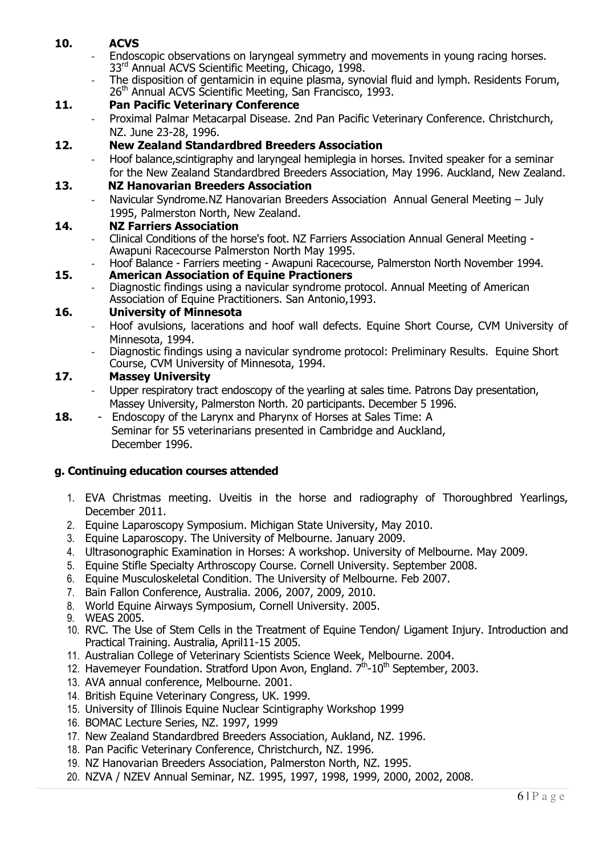# 10. ACVS

- Endoscopic observations on laryngeal symmetry and movements in young racing horses. 33<sup>rd</sup> Annual ACVS Scientific Meeting, Chicago, 1998.
	- The disposition of gentamicin in equine plasma, synovial fluid and lymph. Residents Forum, 26<sup>th</sup> Annual ACVS Scientific Meeting, San Francisco, 1993.

#### 11. Pan Pacific Veterinary Conference

- Proximal Palmar Metacarpal Disease. 2nd Pan Pacific Veterinary Conference. Christchurch, NZ. June 23-28, 1996.

#### 12. New Zealand Standardbred Breeders Association

- Hoof balance,scintigraphy and laryngeal hemiplegia in horses. Invited speaker for a seminar for the New Zealand Standardbred Breeders Association, May 1996. Auckland, New Zealand.

#### 13. NZ Hanovarian Breeders Association

- Navicular Syndrome.NZ Hanovarian Breeders Association Annual General Meeting – July 1995, Palmerston North, New Zealand.

#### 14. NZ Farriers Association

- Clinical Conditions of the horse's foot. NZ Farriers Association Annual General Meeting Awapuni Racecourse Palmerston North May 1995.
- Hoof Balance Farriers meeting Awapuni Racecourse, Palmerston North November 1994.

#### 15. American Association of Equine Practioners

- Diagnostic findings using a navicular syndrome protocol. Annual Meeting of American Association of Equine Practitioners. San Antonio,1993.

#### 16. University of Minnesota

- Hoof avulsions, lacerations and hoof wall defects. Equine Short Course, CVM University of Minnesota, 1994.
- Diagnostic findings using a navicular syndrome protocol: Preliminary Results. Equine Short Course, CVM University of Minnesota, 1994.

#### 17. Massey University

- Upper respiratory tract endoscopy of the yearling at sales time. Patrons Day presentation, Massey University, Palmerston North. 20 participants. December 5 1996.
- 18. Endoscopy of the Larynx and Pharynx of Horses at Sales Time: A Seminar for 55 veterinarians presented in Cambridge and Auckland, December 1996.

#### g. Continuing education courses attended

- 1. EVA Christmas meeting. Uveitis in the horse and radiography of Thoroughbred Yearlings, December 2011.
- 2. Equine Laparoscopy Symposium. Michigan State University, May 2010.
- 3. Equine Laparoscopy. The University of Melbourne. January 2009.
- 4. Ultrasonographic Examination in Horses: A workshop. University of Melbourne. May 2009.
- 5. Equine Stifle Specialty Arthroscopy Course. Cornell University. September 2008.
- 6. Equine Musculoskeletal Condition. The University of Melbourne. Feb 2007.
- 7. Bain Fallon Conference, Australia. 2006, 2007, 2009, 2010.
- 8. World Equine Airways Symposium, Cornell University. 2005.
- 9. WEAS 2005.
- 10. RVC. The Use of Stem Cells in the Treatment of Equine Tendon/ Ligament Injury. Introduction and Practical Training. Australia, April11-15 2005.
- 11. Australian College of Veterinary Scientists Science Week, Melbourne. 2004.
- 12. Havemeyer Foundation. Stratford Upon Avon, England.  $7<sup>th</sup>$ -10<sup>th</sup> September, 2003.
- 13. AVA annual conference, Melbourne. 2001.
- 14. British Equine Veterinary Congress, UK. 1999.
- 15. University of Illinois Equine Nuclear Scintigraphy Workshop 1999
- 16. BOMAC Lecture Series, NZ. 1997, 1999
- 17. New Zealand Standardbred Breeders Association, Aukland, NZ. 1996.
- 18. Pan Pacific Veterinary Conference, Christchurch, NZ. 1996.
- 19. NZ Hanovarian Breeders Association, Palmerston North, NZ. 1995.
- 20. NZVA / NZEV Annual Seminar, NZ. 1995, 1997, 1998, 1999, 2000, 2002, 2008.